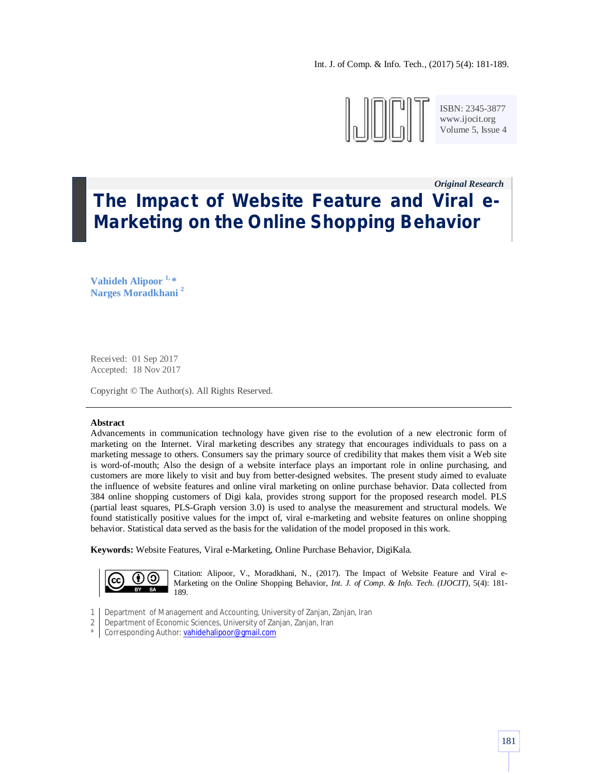

ISBN: 2345-3877 www.ijocit.org Volume 5, Issue 4

*Original Research\_\_*

# **The Impact of Website Feature and Viral e-Marketing on the Online Shopping Behavior**

**Vahideh Alipoor 1, \* Narges Moradkhani <sup>2</sup>**

Received: 01 Sep 2017 Accepted: 18 Nov 2017

Copyright © The Author(s). All Rights Reserved.

# **Abstract**

Advancements in communication technology have given rise to the evolution of a new electronic form of marketing on the Internet. Viral marketing describes any strategy that encourages individuals to pass on a marketing message to others. Consumers say the primary source of credibility that makes them visit a Web site is word-of-mouth; Also the design of a website interface plays an important role in online purchasing, and customers are more likely to visit and buy from better-designed websites. The present study aimed to evaluate the influence of website features and online viral marketing on online purchase behavior. Data collected from 384 online shopping customers of Digi kala, provides strong support for the proposed research model. PLS (partial least squares, PLS-Graph version 3.0) is used to analyse the measurement and structural models. We found statistically positive values for the impct of, viral e-marketing and website features on online shopping behavior. Statistical data served as the basis for the validation of the model proposed in this work.

**Keywords:** Website Features, Viral e-Marketing, Online Purchase Behavior, DigiKala.



Citation: Alipoor, V., Moradkhani, N., (2017). The Impact of Website Feature and Viral e-Marketing on the Online Shopping Behavior, *Int. J. of Comp. & Info. Tech. (IJOCIT)*, 5(4): 181- 189.

- 1 Department of Management and Accounting, University of Zanjan, Zanjan, Iran
- 2 Department of Economic Sciences, University of Zanjan, Zanjan, Iran
- \* Corresponding Author: <mark>vahidehalipoor@gmail.com</mark>>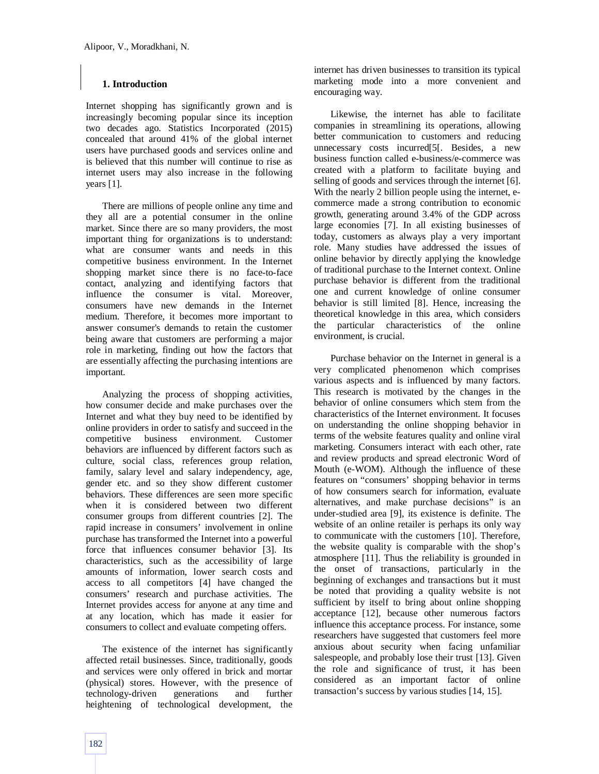# **1. Introduction**

Internet shopping has significantly grown and is increasingly becoming popular since its inception two decades ago. Statistics Incorporated (2015) concealed that around 41% of the global internet users have purchased goods and services online and is believed that this number will continue to rise as internet users may also increase in the following years [1].

There are millions of people online any time and they all are a potential consumer in the online market. Since there are so many providers, the most important thing for organizations is to understand: what are consumer wants and needs in this competitive business environment. In the Internet shopping market since there is no face-to-face contact, analyzing and identifying factors that influence the consumer is vital. Moreover, consumers have new demands in the Internet medium. Therefore, it becomes more important to answer consumer's demands to retain the customer being aware that customers are performing a major role in marketing, finding out how the factors that are essentially affecting the purchasing intentions are important.

Analyzing the process of shopping activities, how consumer decide and make purchases over the Internet and what they buy need to be identified by online providers in order to satisfy and succeed in the competitive business environment. Customer behaviors are influenced by different factors such as culture, social class, references group relation, family, salary level and salary independency, age, gender etc. and so they show different customer behaviors. These differences are seen more specific when it is considered between two different consumer groups from different countries [2]. The rapid increase in consumers' involvement in online purchase has transformed the Internet into a powerful force that influences consumer behavior [3]. Its characteristics, such as the accessibility of large amounts of information, lower search costs and access to all competitors [4] have changed the consumers' research and purchase activities. The Internet provides access for anyone at any time and at any location, which has made it easier for consumers to collect and evaluate competing offers.

The existence of the internet has significantly affected retail businesses. Since, traditionally, goods and services were only offered in brick and mortar (physical) stores. However, with the presence of technology-driven generations and further heightening of technological development, the internet has driven businesses to transition its typical marketing mode into a more convenient and encouraging way.

Likewise, the internet has able to facilitate companies in streamlining its operations, allowing better communication to customers and reducing unnecessary costs incurred[5[. Besides, a new business function called e-business/e-commerce was created with a platform to facilitate buying and selling of goods and services through the internet [6]. With the nearly 2 billion people using the internet, ecommerce made a strong contribution to economic growth, generating around 3.4% of the GDP across large economies [7]. In all existing businesses of today, customers as always play a very important role. Many studies have addressed the issues of online behavior by directly applying the knowledge of traditional purchase to the Internet context. Online purchase behavior is different from the traditional one and current knowledge of online consumer behavior is still limited [8]. Hence, increasing the theoretical knowledge in this area, which considers the particular characteristics of the online environment, is crucial.

Purchase behavior on the Internet in general is a very complicated phenomenon which comprises various aspects and is influenced by many factors. This research is motivated by the changes in the behavior of online consumers which stem from the characteristics of the Internet environment. It focuses on understanding the online shopping behavior in terms of the website features quality and online viral marketing. Consumers interact with each other, rate and review products and spread electronic Word of Mouth (e-WOM). Although the influence of these features on "consumers' shopping behavior in terms of how consumers search for information, evaluate alternatives, and make purchase decisions" is an under-studied area [9], its existence is definite. The website of an online retailer is perhaps its only way to communicate with the customers [10]. Therefore, the website quality is comparable with the shop's atmosphere [11]. Thus the reliability is grounded in the onset of transactions, particularly in the beginning of exchanges and transactions but it must be noted that providing a quality website is not sufficient by itself to bring about online shopping acceptance [12], because other numerous factors influence this acceptance process. For instance, some researchers have suggested that customers feel more anxious about security when facing unfamiliar salespeople, and probably lose their trust [13]. Given the role and significance of trust, it has been considered as an important factor of online transaction's success by various studies [14, 15].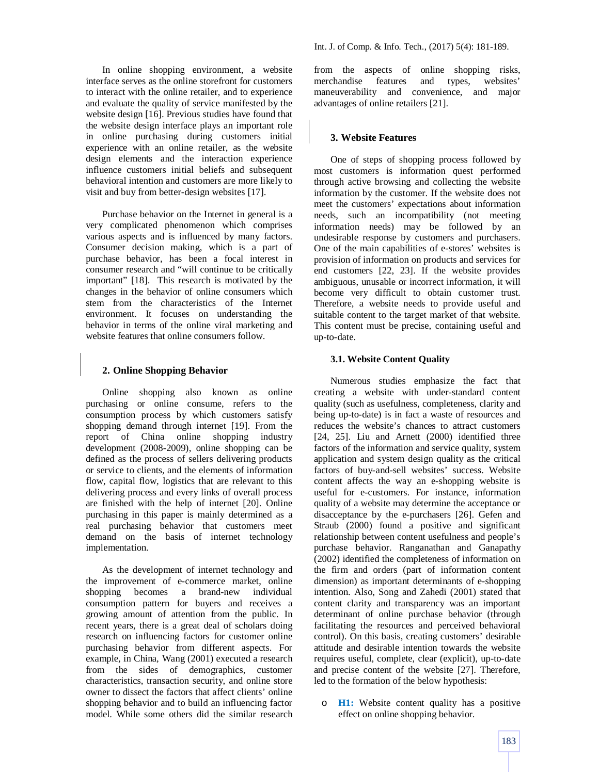In online shopping environment, a website interface serves as the online storefront for customers to interact with the online retailer, and to experience and evaluate the quality of service manifested by the website design [16]. Previous studies have found that the website design interface plays an important role in online purchasing during customers initial experience with an online retailer, as the website design elements and the interaction experience influence customers initial beliefs and subsequent behavioral intention and customers are more likely to visit and buy from better-design websites [17].

Purchase behavior on the Internet in general is a very complicated phenomenon which comprises various aspects and is influenced by many factors. Consumer decision making, which is a part of purchase behavior, has been a focal interest in consumer research and "will continue to be critically important" [18]. This research is motivated by the changes in the behavior of online consumers which stem from the characteristics of the Internet environment. It focuses on understanding the behavior in terms of the online viral marketing and website features that online consumers follow.

# **2. Online Shopping Behavior**

Online shopping also known as online purchasing or online consume, refers to the consumption process by which customers satisfy shopping demand through internet [19]. From the report of China online shopping industry development (2008-2009), online shopping can be defined as the process of sellers delivering products or service to clients, and the elements of information flow, capital flow, logistics that are relevant to this delivering process and every links of overall process are finished with the help of internet [20]. Online purchasing in this paper is mainly determined as a real purchasing behavior that customers meet demand on the basis of internet technology implementation.

As the development of internet technology and the improvement of e-commerce market, online shopping becomes a brand-new individual consumption pattern for buyers and receives a growing amount of attention from the public. In recent years, there is a great deal of scholars doing research on influencing factors for customer online purchasing behavior from different aspects. For example, in China, Wang (2001) executed a research from the sides of demographics, customer characteristics, transaction security, and online store owner to dissect the factors that affect clients' online shopping behavior and to build an influencing factor model. While some others did the similar research

from the aspects of online shopping risks, merchandise features and types, websites' maneuverability and convenience, and major advantages of online retailers [21].

# **3. Website Features**

One of steps of shopping process followed by most customers is information quest performed through active browsing and collecting the website information by the customer. If the website does not meet the customers' expectations about information needs, such an incompatibility (not meeting information needs) may be followed by an undesirable response by customers and purchasers. One of the main capabilities of e-stores' websites is provision of information on products and services for end customers [22, 23]. If the website provides ambiguous, unusable or incorrect information, it will become very difficult to obtain customer trust. Therefore, a website needs to provide useful and suitable content to the target market of that website. This content must be precise, containing useful and up-to-date.

# **3.1. Website Content Quality**

Numerous studies emphasize the fact that creating a website with under-standard content quality (such as usefulness, completeness, clarity and being up-to-date) is in fact a waste of resources and reduces the website's chances to attract customers [24, 25]. Liu and Arnett (2000) identified three factors of the information and service quality, system application and system design quality as the critical factors of buy-and-sell websites' success. Website content affects the way an e-shopping website is useful for e-customers. For instance, information quality of a website may determine the acceptance or disacceptance by the e-purchasers [26]. Gefen and Straub (2000) found a positive and significant relationship between content usefulness and people's purchase behavior. Ranganathan and Ganapathy (2002) identified the completeness of information on the firm and orders (part of information content dimension) as important determinants of e-shopping intention. Also, Song and Zahedi (2001) stated that content clarity and transparency was an important determinant of online purchase behavior (through facilitating the resources and perceived behavioral control). On this basis, creating customers' desirable attitude and desirable intention towards the website requires useful, complete, clear (explicit), up-to-date and precise content of the website [27]. Therefore, led to the formation of the below hypothesis:

**H1:** Website content quality has a positive effect on online shopping behavior.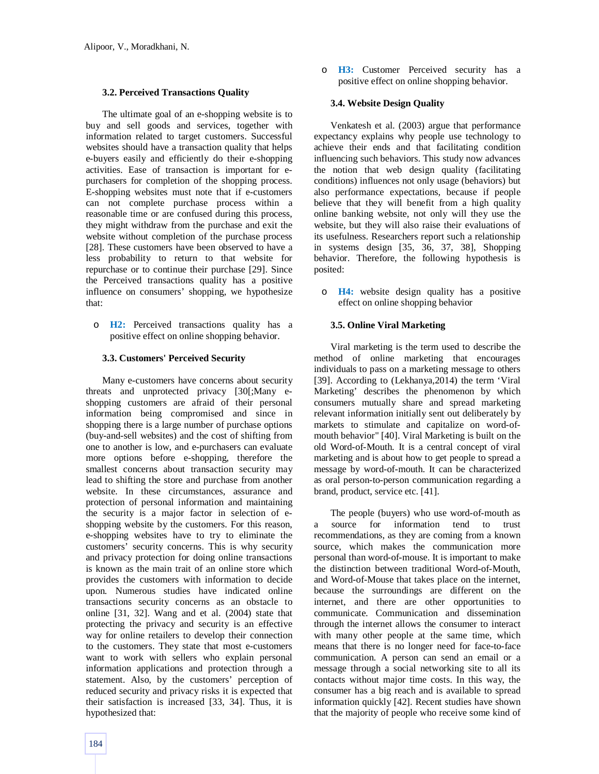# **3.2. Perceived Transactions Quality**

The ultimate goal of an e-shopping website is to buy and sell goods and services, together with information related to target customers. Successful websites should have a transaction quality that helps e-buyers easily and efficiently do their e-shopping activities. Ease of transaction is important for epurchasers for completion of the shopping process. E-shopping websites must note that if e-customers can not complete purchase process within a reasonable time or are confused during this process, they might withdraw from the purchase and exit the website without completion of the purchase process [28]. These customers have been observed to have a less probability to return to that website for repurchase or to continue their purchase [29]. Since the Perceived transactions quality has a positive influence on consumers' shopping, we hypothesize that:

o **H2:** Perceived transactions quality has a positive effect on online shopping behavior.

## **3.3. Customers' Perceived Security**

Many e-customers have concerns about security threats and unprotected privacy [30[;Many eshopping customers are afraid of their personal information being compromised and since in shopping there is a large number of purchase options (buy-and-sell websites) and the cost of shifting from one to another is low, and e-purchasers can evaluate more options before e-shopping, therefore the smallest concerns about transaction security may lead to shifting the store and purchase from another website. In these circumstances, assurance and protection of personal information and maintaining the security is a major factor in selection of eshopping website by the customers. For this reason, e-shopping websites have to try to eliminate the customers' security concerns. This is why security and privacy protection for doing online transactions is known as the main trait of an online store which provides the customers with information to decide upon. Numerous studies have indicated online transactions security concerns as an obstacle to online [31, 32]. Wang and et al. (2004) state that protecting the privacy and security is an effective way for online retailers to develop their connection to the customers. They state that most e-customers want to work with sellers who explain personal information applications and protection through a statement. Also, by the customers' perception of reduced security and privacy risks it is expected that their satisfaction is increased [33, 34]. Thus, it is hypothesized that:

o **H3:** Customer Perceived security has a positive effect on online shopping behavior.

# **3.4. Website Design Quality**

Venkatesh et al. (2003) argue that performance expectancy explains why people use technology to achieve their ends and that facilitating condition influencing such behaviors. This study now advances the notion that web design quality (facilitating conditions) influences not only usage (behaviors) but also performance expectations, because if people believe that they will benefit from a high quality online banking website, not only will they use the website, but they will also raise their evaluations of its usefulness. Researchers report such a relationship in systems design [35, 36, 37, 38], Shopping behavior. Therefore, the following hypothesis is posited:

o **H4:** website design quality has a positive effect on online shopping behavior

#### **3.5. Online Viral Marketing**

Viral marketing is the term used to describe the method of online marketing that encourages individuals to pass on a marketing message to others [39]. According to (Lekhanya,2014) the term 'Viral Marketing' describes the phenomenon by which consumers mutually share and spread marketing relevant information initially sent out deliberately by markets to stimulate and capitalize on word-ofmouth behavior" [40]. Viral Marketing is built on the old Word-of-Mouth. It is a central concept of viral marketing and is about how to get people to spread a message by word-of-mouth. It can be characterized as oral person-to-person communication regarding a brand, product, service etc. [41].

The people (buyers) who use word-of-mouth as a source for information tend to trust recommendations, as they are coming from a known source, which makes the communication more personal than word-of-mouse. It is important to make the distinction between traditional Word-of-Mouth, and Word-of-Mouse that takes place on the internet, because the surroundings are different on the internet, and there are other opportunities to communicate. Communication and dissemination through the internet allows the consumer to interact with many other people at the same time, which means that there is no longer need for face-to-face communication. A person can send an email or a message through a social networking site to all its contacts without major time costs. In this way, the consumer has a big reach and is available to spread information quickly [42]. Recent studies have shown that the majority of people who receive some kind of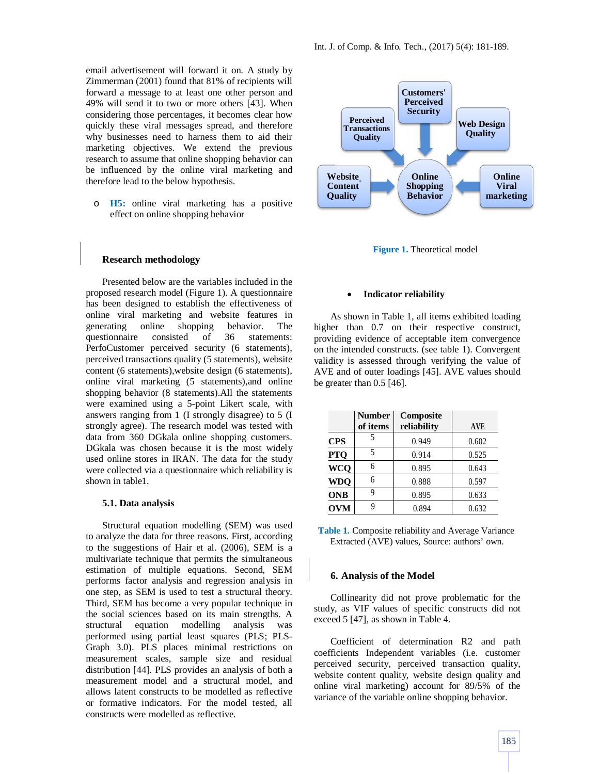email advertisement will forward it on. A study by Zimmerman (2001) found that 81% of recipients will forward a message to at least one other person and 49% will send it to two or more others [43]. When considering those percentages, it becomes clear how quickly these viral messages spread, and therefore why businesses need to harness them to aid their marketing objectives. We extend the previous research to assume that online shopping behavior can be influenced by the online viral marketing and therefore lead to the below hypothesis.

o **H5:** online viral marketing has a positive effect on online shopping behavior

## **Research methodology**

Presented below are the variables included in the proposed research model (Figure 1). A questionnaire has been designed to establish the effectiveness of online viral marketing and website features in generating online shopping behavior. The questionnaire consisted of 36 statements: PerfoCustomer perceived security (6 statements), perceived transactions quality (5 statements), website content (6 statements),website design (6 statements), online viral marketing (5 statements),and online shopping behavior (8 statements).All the statements were examined using a 5-point Likert scale, with answers ranging from 1 (I strongly disagree) to 5 (I strongly agree). The research model was tested with data from 360 DGkala online shopping customers. DGkala was chosen because it is the most widely used online stores in IRAN. The data for the study were collected via a questionnaire which reliability is shown in table1.

#### **5.1. Data analysis**

Structural equation modelling (SEM) was used to analyze the data for three reasons. First, according to the suggestions of Hair et al. (2006), SEM is a multivariate technique that permits the simultaneous estimation of multiple equations. Second, SEM performs factor analysis and regression analysis in one step, as SEM is used to test a structural theory. Third, SEM has become a very popular technique in the social sciences based on its main strengths. A structural equation modelling analysis was structural equation modelling analysis was performed using partial least squares (PLS; PLS-Graph 3.0). PLS places minimal restrictions on measurement scales, sample size and residual distribution [44]. PLS provides an analysis of both a measurement model and a structural model, and allows latent constructs to be modelled as reflective or formative indicators. For the model tested, all constructs were modelled as reflective.



**Figure 1.** Theoretical model

#### **Indicator reliability**

As shown in Table 1, all items exhibited loading higher than 0.7 on their respective construct, providing evidence of acceptable item convergence on the intended constructs. (see table 1). Convergent validity is assessed through verifying the value of AVE and of outer loadings [45]. AVE values should be greater than 0.5 [46].

|            | <b>Number</b><br>of items | Composite<br>reliability | <b>AVE</b> |
|------------|---------------------------|--------------------------|------------|
| <b>CPS</b> | 5                         | 0.949                    | 0.602      |
| <b>PTQ</b> | 5                         | 0.914                    | 0.525      |
| <b>WCQ</b> | 6                         | 0.895                    | 0.643      |
| <b>WDQ</b> | 6                         | 0.888                    | 0.597      |
| <b>ONB</b> | 9                         | 0.895                    | 0.633      |
| <b>OVM</b> | q                         | 0.894                    | 0.632      |

**Table 1.** Composite reliability and Average Variance Extracted (AVE) values, Source: authors' own.

#### **6. Analysis of the Model**

Collinearity did not prove problematic for the study, as VIF values of specific constructs did not exceed 5 [47], as shown in Table 4.

Coefficient of determination R2 and path coefficients Independent variables (i.e. customer perceived security, perceived transaction quality, website content quality, website design quality and online viral marketing) account for 89/5% of the variance of the variable online shopping behavior.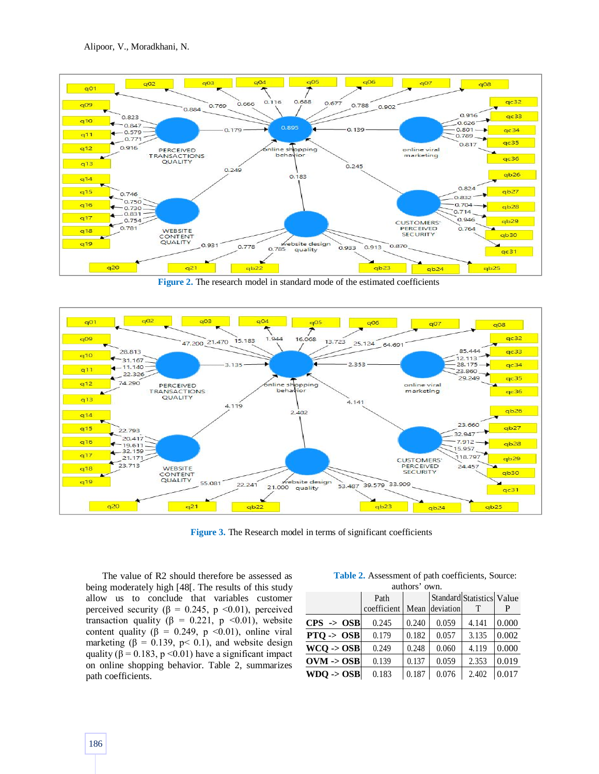

**Figure 2.** The research model in standard mode of the estimated coefficients



**Figure 3.** The Research model in terms of significant coefficients

The value of R2 should therefore be assessed as being moderately high [48[. The results of this study allow us to conclude that variables customer perceived security ( $\beta = 0.245$ , p <0.01), perceived transaction quality ( $\beta = 0.221$ , p <0.01), website content quality ( $\beta = 0.249$ , p <0.01), online viral marketing ( $\beta = 0.139$ ,  $p < 0.1$ ), and website design quality ( $\beta$  = 0.183, p < 0.01) have a significant impact on online shopping behavior. Table 2, summarizes path coefficients.

| auuna vwn.            |             |       |           |                           |       |  |  |  |
|-----------------------|-------------|-------|-----------|---------------------------|-------|--|--|--|
|                       | Path        |       |           | Standard Statistics Value |       |  |  |  |
|                       | coefficient | Mean  | deviation |                           | P     |  |  |  |
| $CPS \rightarrow OSB$ | 0.245       | 0.240 | 0.059     | 4.141                     | 0.000 |  |  |  |
| $PTQ \rightarrow OSB$ | 0.179       | 0.182 | 0.057     | 3.135                     | 0.002 |  |  |  |
| $WCO \rightarrow OSB$ | 0.249       | 0.248 | 0.060     | 4.119                     | 0.000 |  |  |  |
| $OVM \rightarrow OSB$ | 0.139       | 0.137 | 0.059     | 2.353                     | 0.019 |  |  |  |
| $WDO \rightarrow OSB$ | 0.183       | 0.187 | 0.076     | 2.402                     | 0.017 |  |  |  |

**Table 2.** Assessment of path coefficients, Source: authors' own.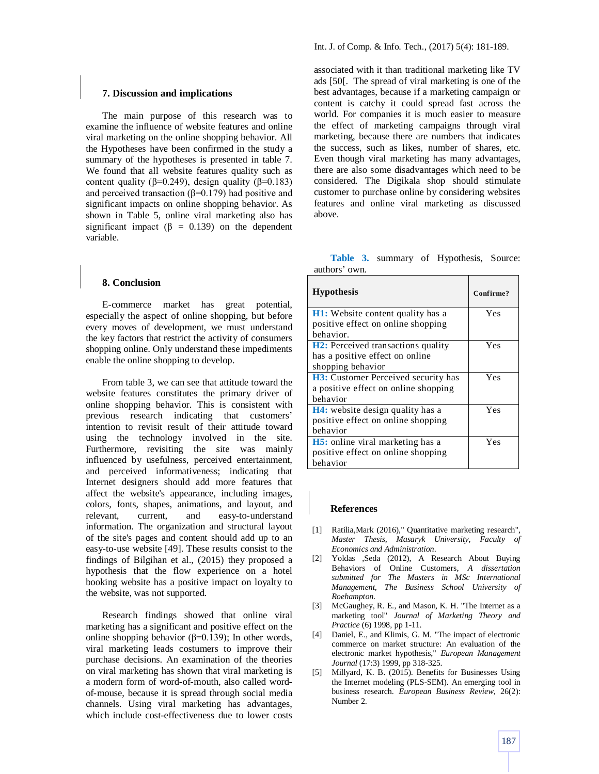The main purpose of this research was to examine the influence of website features and online viral marketing on the online shopping behavior. All the Hypotheses have been confirmed in the study a summary of the hypotheses is presented in table 7. We found that all website features quality such as content quality ( $β=0.249$ ), design quality ( $β=0.183$ ) and perceived transaction ( $\beta$ =0.179) had positive and significant impacts on online shopping behavior. As shown in Table 5, online viral marketing also has significant impact ( $\beta = 0.139$ ) on the dependent variable.

## **8. Conclusion**

E-commerce market has great potential, especially the aspect of online shopping, but before every moves of development, we must understand the key factors that restrict the activity of consumers shopping online. Only understand these impediments enable the online shopping to develop.

From table 3, we can see that attitude toward the website features constitutes the primary driver of online shopping behavior. This is consistent with previous research indicating that customers' intention to revisit result of their attitude toward using the technology involved in the site. Furthermore, revisiting the site was mainly influenced by usefulness, perceived entertainment, and perceived informativeness; indicating that Internet designers should add more features that affect the website's appearance, including images, colors, fonts, shapes, animations, and layout, and relevant, current, and easy-to-understand information. The organization and structural layout of the site's pages and content should add up to an easy-to-use website [49]. These results consist to the findings of Bilgihan et al., (2015) they proposed a hypothesis that the flow experience on a hotel booking website has a positive impact on loyalty to the website, was not supported.

Research findings showed that online viral marketing has a significant and positive effect on the online shopping behavior ( $β=0.139$ ); In other words, viral marketing leads costumers to improve their purchase decisions. An examination of the theories on viral marketing has shown that viral marketing is a modern form of word-of-mouth, also called wordof-mouse, because it is spread through social media channels. Using viral marketing has advantages, which include cost-effectiveness due to lower costs associated with it than traditional marketing like TV ads [50[. The spread of viral marketing is one of the best advantages, because if a marketing campaign or content is catchy it could spread fast across the world. For companies it is much easier to measure the effect of marketing campaigns through viral marketing, because there are numbers that indicates the success, such as likes, number of shares, etc. Even though viral marketing has many advantages, there are also some disadvantages which need to be considered. The Digikala shop should stimulate customer to purchase online by considering websites features and online viral marketing as discussed above.

**Table 3.** summary of Hypothesis, Source: authors' own.

| <b>Hypothesis</b>                           | Confirme? |  |
|---------------------------------------------|-----------|--|
| <b>H1</b> : Website content quality has a   | Yes       |  |
| positive effect on online shopping          |           |  |
| behavior.                                   |           |  |
| <b>H2</b> : Perceived transactions quality  | Yes       |  |
| has a positive effect on online             |           |  |
| shopping behavior                           |           |  |
| <b>H3</b> : Customer Perceived security has | Yes       |  |
| a positive effect on online shopping        |           |  |
| behavior                                    |           |  |
| <b>H4</b> : website design quality has a    | Yes       |  |
| positive effect on online shopping          |           |  |
| behavior                                    |           |  |
| H5: online viral marketing has a            | Yes       |  |
| positive effect on online shopping          |           |  |
| behavior                                    |           |  |

#### **References**

- [1] Ratilia,Mark (2016)," Quantitative marketing research", *Master Thesis, Masaryk University, Faculty of Economics and Administration*.
- [2] Yoldas ,Seda (2012), A Research About Buying Behaviors of Online Customers, *A dissertation submitted for The Masters in MSc International Management, The Business School University of Roehampton*.
- [3] McGaughey, R. E., and Mason, K. H. "The Internet as a marketing tool" *Journal of Marketing Theory and Practice* (6) 1998, pp 1-11.
- [4] Daniel, E., and Klimis, G. M. "The impact of electronic commerce on market structure: An evaluation of the electronic market hypothesis," *European Management Journal* (17:3) 1999, pp 318-325.
- [5] Millyard, K. B. (2015). Benefits for Businesses Using the Internet modeling (PLS-SEM). An emerging tool in business research. *European Business Review*, 26(2): Number 2.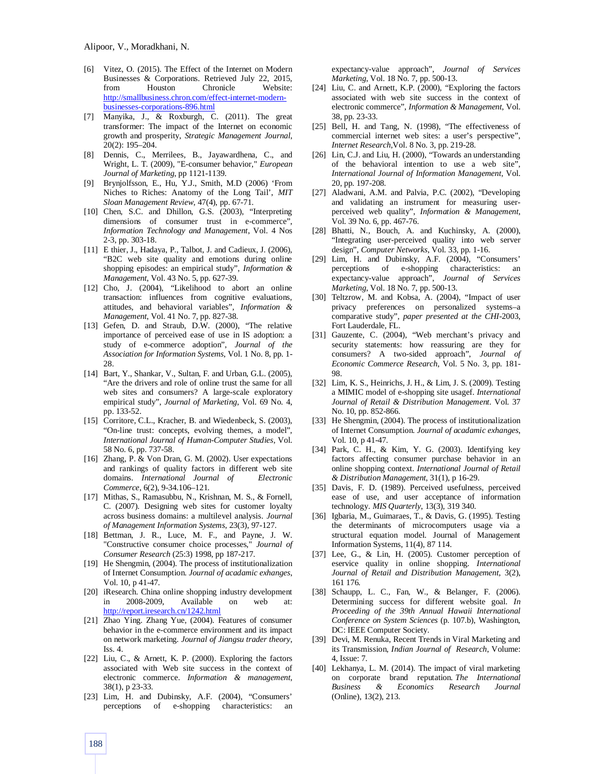- [6] Vitez, O. (2015). The Effect of the Internet on Modern Businesses & Corporations. Retrieved July 22, 2015, from Houston Chronicle Website: http://smallbusiness.chron.com/effect-internet-modernbusinesses-corporations-896.html
- [7] Manyika, J., & Roxburgh, C. (2011). The great transformer: The impact of the Internet on economic growth and prosperity, *Strategic Management Journal*, 20(2): 195–204.
- [8] Dennis, C., Merrilees, B., Jayawardhena, C., and Wright, L. T. (2009), "E-consumer behavior," *European Journal of Marketing*, pp 1121-1139.
- [9] Brynjolfsson, E., Hu, Y.J., Smith, M.D (2006) 'From Niches to Riches: Anatomy of the Long Tail', *MIT Sloan Management Review*, 47(4), pp. 67-71.
- [10] Chen, S.C. and Dhillon, G.S. (2003), "Interpreting dimensions of consumer trust in e-commerce", *Information Technology and Management*, Vol. 4 Nos 2-3, pp. 303-18.
- [11] E thier, J., Hadaya, P., Talbot, J. and Cadieux, J. (2006), "B2C web site quality and emotions during online shopping episodes: an empirical study", *Information & Management,* Vol. 43 No. 5, pp. 627-39.
- [12] Cho, J. (2004), "Likelihood to abort an online transaction: influences from cognitive evaluations, attitudes, and behavioral variables", *Information & Management*, Vol. 41 No. 7, pp. 827-38.
- [13] Gefen, D. and Straub, D.W. (2000), "The relative importance of perceived ease of use in IS adoption: a study of e-commerce adoption", *Journal of the Association for Information Systems*, Vol. 1 No. 8, pp. 1- 28.
- [14] Bart, Y., Shankar, V., Sultan, F. and Urban, G.L. (2005), "Are the drivers and role of online trust the same for all web sites and consumers? A large-scale exploratory empirical study", *Journal of Marketing*, Vol. 69 No. 4, pp. 133-52.
- [15] Corritore, C.L., Kracher, B. and Wiedenbeck, S. (2003), "On-line trust: concepts, evolving themes, a model", *International Journal of Human-Computer Studies*, Vol. 58 No. 6, pp. 737-58.
- [16] Zhang, P. & Von Dran, G. M. (2002). User expectations and rankings of quality factors in different web site domains. *International Journal of Electronic Commerce*, 6(2), 9-34.106–121.
- [17] Mithas, S., Ramasubbu, N., Krishnan, M. S., & Fornell, C. (2007). Designing web sites for customer loyalty across business domains: a multilevel analysis. *Journal of Management Information Systems*, 23(3), 97-127.
- [18] Bettman, J. R., Luce, M. F., and Payne, J. W. "Constructive consumer choice processes," *Journal of Consumer Research* (25:3) 1998, pp 187-217.
- [19] He Shengmin, (2004). The process of institutionalization of Internet Consumption. *Journal of acadamic exhanges*, Vol. 10, p 41-47.
- [20] iResearch. China online shopping industry development in 2008-2009, Available on web at: http://report.iresearch.cn/1242.html
- [21] Zhao Ying. Zhang Yue, (2004). Features of consumer behavior in the e-commerce environment and its impact on network marketing. *Journal of Jiangsu trader theory*, Iss. 4.
- [22] Liu, C., & Arnett, K. P. (2000). Exploring the factors associated with Web site success in the context of electronic commerce. *Information & management*, 38(1), p 23-33.
- [23] Lim, H. and Dubinsky, A.F. (2004), "Consumers' perceptions of e-shopping characteristics:

expectancy-value approach", *Journal of Services Marketing*, Vol. 18 No. 7, pp. 500-13.

- [24] Liu, C. and Arnett, K.P. (2000), "Exploring the factors associated with web site success in the context of electronic commerce", *Information & Management*, Vol. 38, pp. 23-33.
- [25] Bell, H. and Tang, N. (1998), "The effectiveness of commercial internet web sites: a user's perspective", *Internet Research*,Vol. 8 No. 3, pp. 219-28.
- [26] Lin, C.J. and Liu, H. (2000), "Towards an understanding of the behavioral intention to use a web site", *International Journal of Information Management*, Vol. 20, pp. 197-208.
- [27] Aladwani, A.M. and Palvia, P.C. (2002), "Developing and validating an instrument for measuring userperceived web quality", *Information & Management*, Vol. 39 No. 6, pp. 467-76.
- [28] Bhatti, N., Bouch, A. and Kuchinsky, A. (2000), "Integrating user-perceived quality into web server design", *Computer Networks*, Vol. 33, pp. 1-16.
- [29] Lim, H. and Dubinsky, A.F. (2004), "Consumers' perceptions of e-shopping characteristics: an expectancy-value approach", *Journal of Services Marketing*, Vol. 18 No. 7, pp. 500-13.
- [30] Teltzrow, M. and Kobsa, A. (2004), "Impact of user privacy preferences on personalized systems–a comparative study", *paper presented at the CHI*-2003, Fort Lauderdale, FL.
- [31] Gauzente, C. (2004), "Web merchant's privacy and security statements: how reassuring are they for consumers? A two-sided approach", *Journal of Economic Commerce Research*, Vol. 5 No. 3, pp. 181- 98.
- [32] Lim, K. S., Heinrichs, J. H., & Lim, J. S. (2009). Testing a MIMIC model of e-shopping site usagef. *International Journal of Retail & Distribution Management*. Vol. 37 No. 10, pp. 852-866.
- [33] He Shengmin, (2004). The process of institutionalization of Internet Consumption. *Journal of acadamic exhanges*, Vol. 10, p 41-47.
- [34] Park, C. H., & Kim, Y. G. (2003). Identifying key factors affecting consumer purchase behavior in an online shopping context. *International Journal of Retail & Distribution Management*, 31(1), p 16-29.
- [35] Davis, F. D. (1989). Perceived usefulness, perceived ease of use, and user acceptance of information technology. *MIS Quarterly*, 13(3), 319 340.
- [36] Igbaria, M., Guimaraes, T., & Davis, G. (1995). Testing the determinants of microcomputers usage via a structural equation model. Journal of Management Information Systems, 11(4), 87 114.
- [37] Lee, G., & Lin, H. (2005). Customer perception of eservice quality in online shopping. *International Journal of Retail and Distribution Management*, 3(2), 161 176.
- [38] Schaupp, L. C., Fan, W., & Belanger, F. (2006). Determining success for different website goal. *In Proceeding of the 39th Annual Hawaii International Conference on System Sciences* (p. 107.b), Washington, DC: IEEE Computer Society.
- [39] Devi, M. Renuka, Recent Trends in Viral Marketing and its Transmission, *Indian Journal of Research*, Volume: 4, Issue: 7.
- [40] Lekhanya, L. M. (2014). The impact of viral marketing on corporate brand reputation. *The International*  **Business & Economics Research** (Online), 13(2), 213.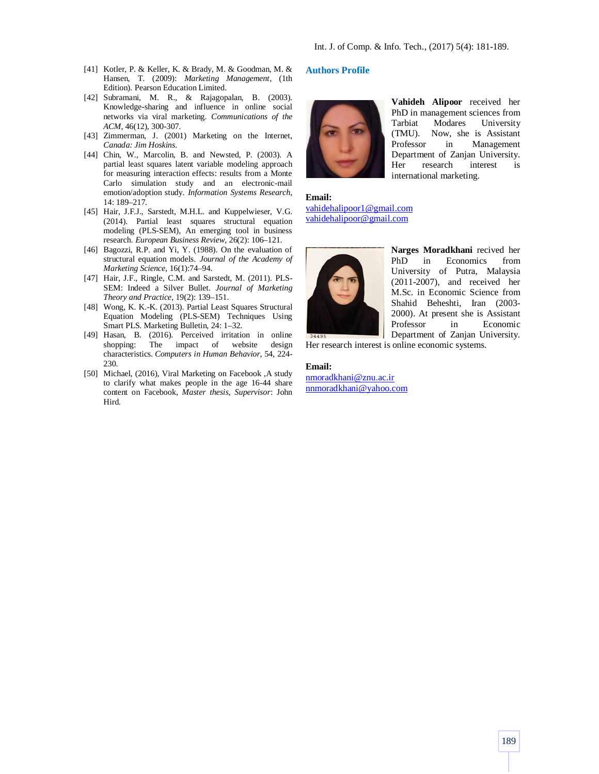- [41] Kotler, P. & Keller, K. & Brady, M. & Goodman, M. & Hansen, T. (2009): *Marketing Management*, (1th Edition). Pearson Education Limited.
- [42] Subramani, M. R., & Rajagopalan, B. (2003). Knowledge-sharing and influence in online social networks via viral marketing. *Communications of the ACM*, 46(12), 300-307.
- [43] Zimmerman, J. (2001) Marketing on the Internet, *Canada: Jim Hoskins*.
- [44] Chin, W., Marcolin, B. and Newsted, P. (2003). A partial least squares latent variable modeling approach for measuring interaction effects: results from a Monte Carlo simulation study and an electronic-mail emotion/adoption study. *Information Systems Research*, 14: 189–217.
- [45] Hair, J.F.J., Sarstedt, M.H.L. and Kuppelwieser, V.G. (2014). Partial least squares structural equation modeling (PLS-SEM), An emerging tool in business research. *European Business Review*, 26(2): 106–121.
- [46] Bagozzi, R.P. and Yi, Y. (1988). On the evaluation of structural equation models. *Journal of the Academy of Marketing Science*, 16(1):74–94.
- [47] Hair, J.F., Ringle, C.M. and Sarstedt, M. (2011). PLS-SEM: Indeed a Silver Bullet. *Journal of Marketing Theory and Practice*, 19(2): 139–151.
- [48] Wong, K. K.-K. (2013). Partial Least Squares Structural Equation Modeling (PLS-SEM) Techniques Using Smart PLS. Marketing Bulletin, 24: 1–32.
- [49] Hasan, B. (2016). Perceived irritation in online shopping: The impact of website design characteristics. *Computers in Human Behavior*, 54, 224- 230.
- [50] Michael, (2016), Viral Marketing on Facebook ,A study to clarify what makes people in the age 16-44 share content on Facebook, *Master thesis, Supervisor*: John Hird.

# **Authors Profile**



**Vahideh Alipoor** received her PhD in management sciences from Tarbiat Modares University (TMU). Now, she is Assistant Professor in Management Department of Zanjan University. Her research interest is international marketing.

**Email:** vahidehalipoor1@gmail.com vahidehalipoor@gmail.com



**Narges Moradkhani** recived her PhD in Economics from University of Putra, Malaysia (2011-2007), and received her M.Sc. in Economic Science from Shahid Beheshti, Iran (2003- 2000). At present she is Assistant Professor in Economic Department of Zanjan University.

Her research interest is online economic systems.

#### **Email:**

nmoradkhani@znu.ac.ir nnmoradkhani@yahoo.com